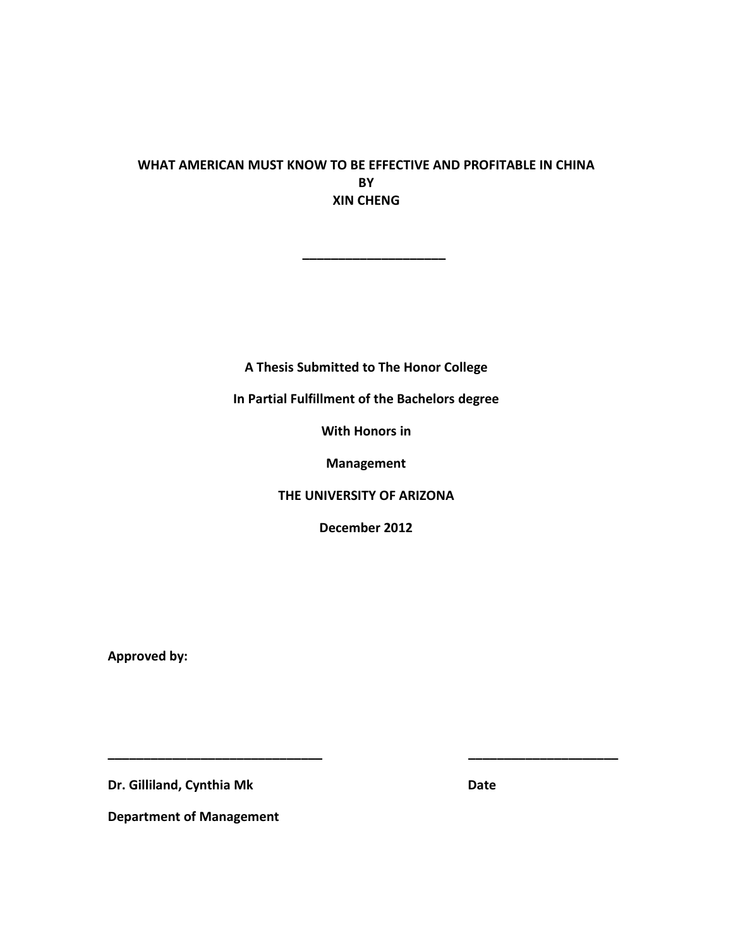# **WHAT AMERICAN MUST KNOW TO BE EFFECTIVE AND PROFITABLE IN CHINA BY XIN CHENG**

**\_\_\_\_\_\_\_\_\_\_\_\_\_\_\_\_\_\_\_\_**

**A Thesis Submitted to The Honor College**

**In Partial Fulfillment of the Bachelors degree**

**With Honors in**

**Management**

**THE UNIVERSITY OF ARIZONA**

**December 2012**

**\_\_\_\_\_\_\_\_\_\_\_\_\_\_\_\_\_\_\_\_\_\_\_\_\_\_\_\_\_\_ \_\_\_\_\_\_\_\_\_\_\_\_\_\_\_\_\_\_\_\_\_**

**Approved by:**

**Dr. Gilliland, Cynthia Mk Date** 

**Department of Management**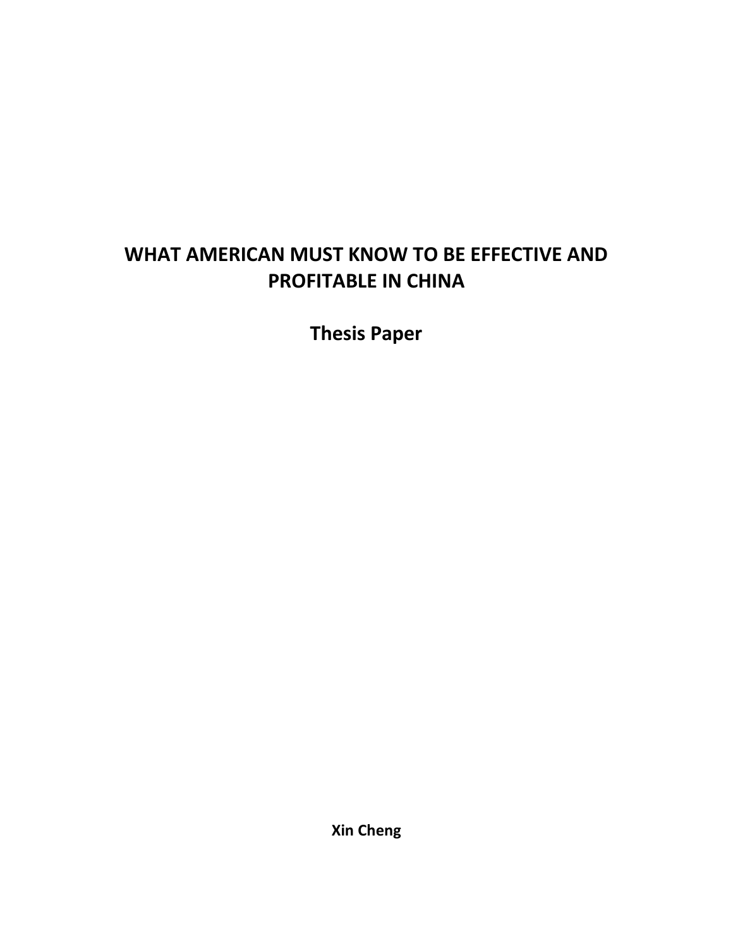# **WHAT AMERICAN MUST KNOW TO BE EFFECTIVE AND PROFITABLE IN CHINA**

**Thesis Paper**

**Xin Cheng**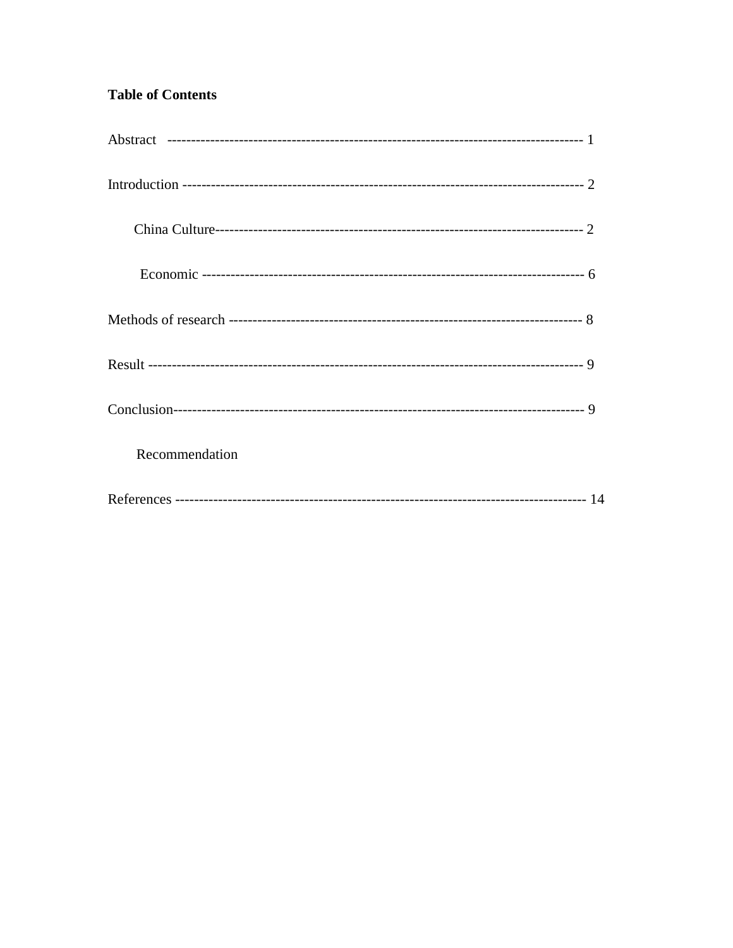# **Table of Contents**

| Recommendation |
|----------------|
|                |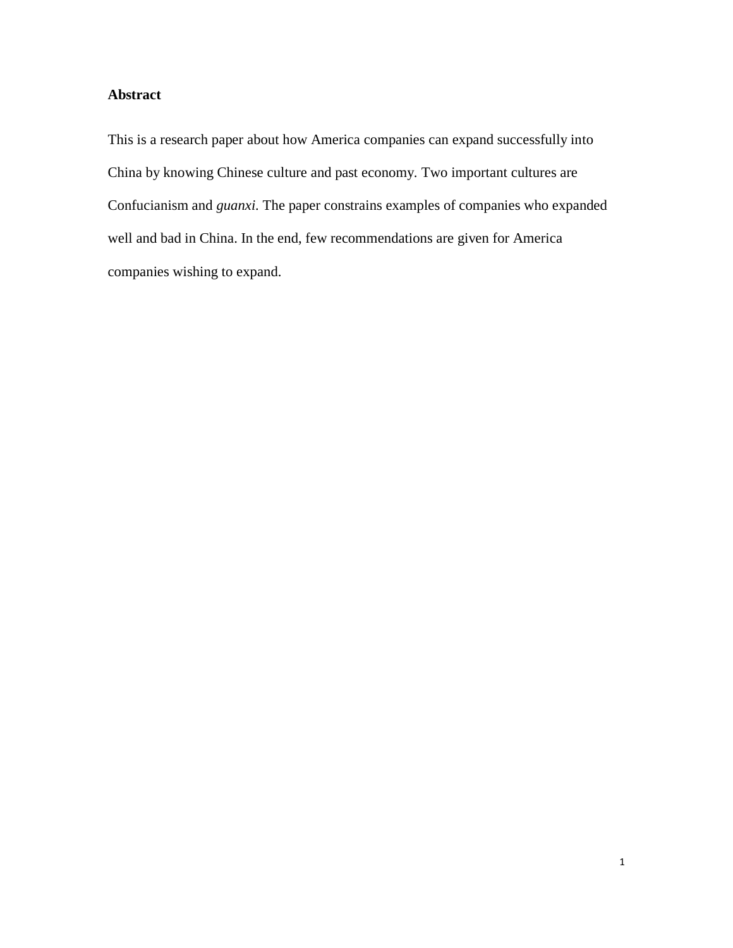# **Abstract**

This is a research paper about how America companies can expand successfully into China by knowing Chinese culture and past economy. Two important cultures are Confucianism and *guanxi.* The paper constrains examples of companies who expanded well and bad in China. In the end, few recommendations are given for America companies wishing to expand.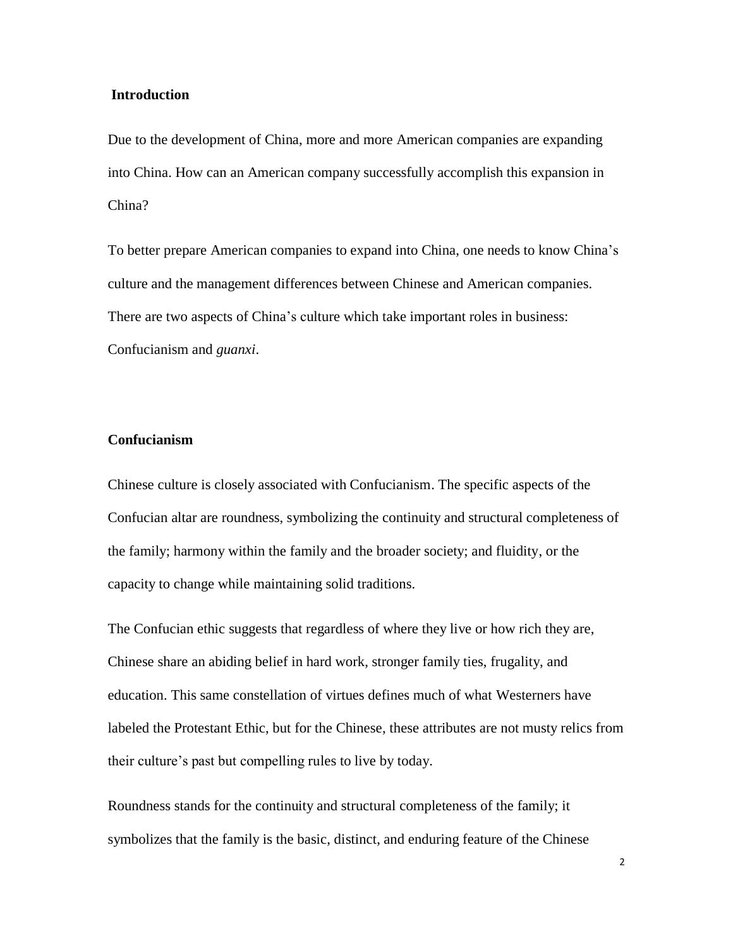#### **Introduction**

Due to the development of China, more and more American companies are expanding into China. How can an American company successfully accomplish this expansion in China?

To better prepare American companies to expand into China, one needs to know China's culture and the management differences between Chinese and American companies. There are two aspects of China's culture which take important roles in business: Confucianism and *guanxi*.

### **Confucianism**

Chinese culture is closely associated with Confucianism. The specific aspects of the Confucian altar are roundness, symbolizing the continuity and structural completeness of the family; harmony within the family and the broader society; and fluidity, or the capacity to change while maintaining solid traditions.

The Confucian ethic suggests that regardless of where they live or how rich they are, Chinese share an abiding belief in hard work, stronger family ties, frugality, and education. This same constellation of virtues defines much of what Westerners have labeled the Protestant Ethic, but for the Chinese, these attributes are not musty relics from their culture's past but compelling rules to live by today.

Roundness stands for the continuity and structural completeness of the family; it symbolizes that the family is the basic, distinct, and enduring feature of the Chinese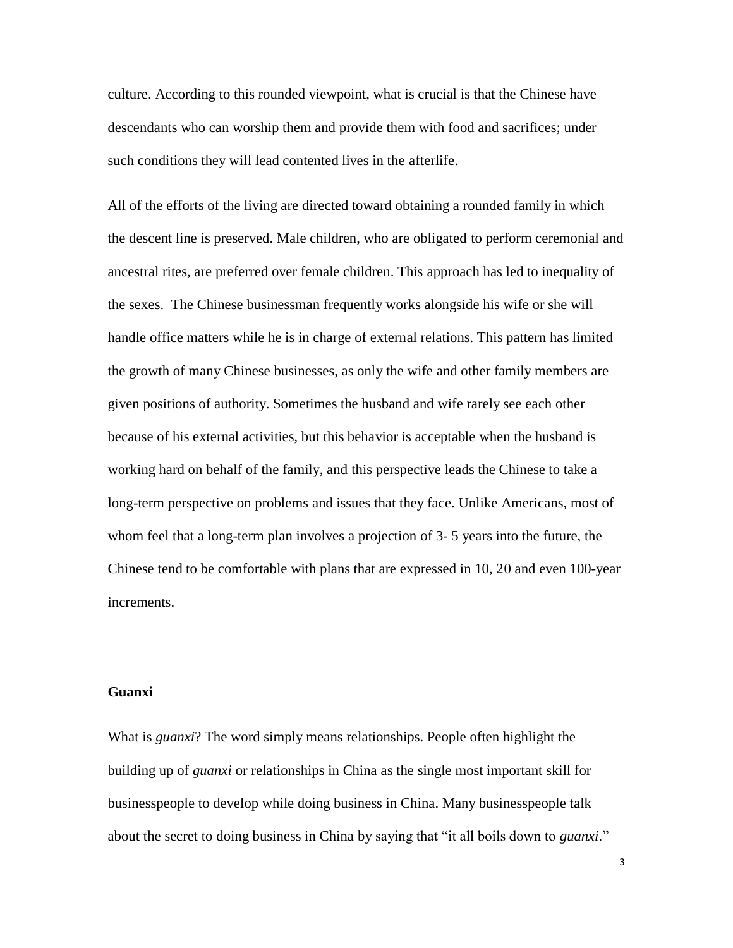culture. According to this rounded viewpoint, what is crucial is that the Chinese have descendants who can worship them and provide them with food and sacrifices; under such conditions they will lead contented lives in the afterlife.

All of the efforts of the living are directed toward obtaining a rounded family in which the descent line is preserved. Male children, who are obligated to perform ceremonial and ancestral rites, are preferred over female children. This approach has led to inequality of the sexes. The Chinese businessman frequently works alongside his wife or she will handle office matters while he is in charge of external relations. This pattern has limited the growth of many Chinese businesses, as only the wife and other family members are given positions of authority. Sometimes the husband and wife rarely see each other because of his external activities, but this behavior is acceptable when the husband is working hard on behalf of the family, and this perspective leads the Chinese to take a long-term perspective on problems and issues that they face. Unlike Americans, most of whom feel that a long-term plan involves a projection of 3- 5 years into the future, the Chinese tend to be comfortable with plans that are expressed in 10, 20 and even 100-year increments.

#### **Guanxi**

What is *guanxi*? The word simply means relationships. People often highlight the building up of *guanxi* or relationships in China as the single most important skill for businesspeople to develop while doing business in China. Many businesspeople talk about the secret to doing business in China by saying that "it all boils down to *guanxi*."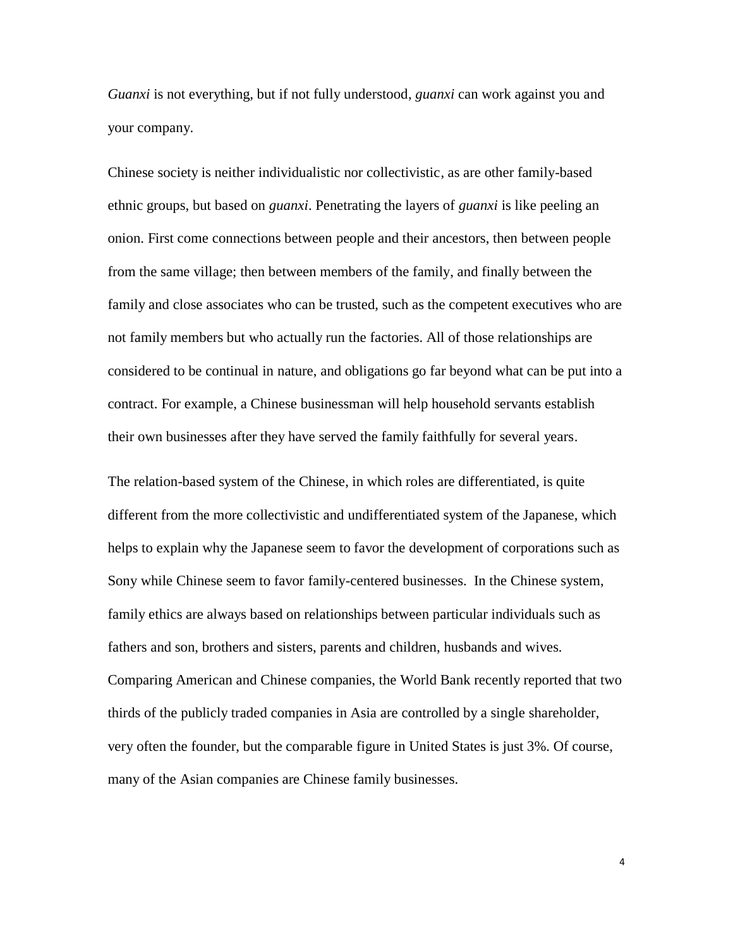*Guanxi* is not everything, but if not fully understood, *guanxi* can work against you and your company.

Chinese society is neither individualistic nor collectivistic, as are other family-based ethnic groups, but based on *guanxi*. Penetrating the layers of *guanxi* is like peeling an onion. First come connections between people and their ancestors, then between people from the same village; then between members of the family, and finally between the family and close associates who can be trusted, such as the competent executives who are not family members but who actually run the factories. All of those relationships are considered to be continual in nature, and obligations go far beyond what can be put into a contract. For example, a Chinese businessman will help household servants establish their own businesses after they have served the family faithfully for several years.

The relation-based system of the Chinese, in which roles are differentiated, is quite different from the more collectivistic and undifferentiated system of the Japanese, which helps to explain why the Japanese seem to favor the development of corporations such as Sony while Chinese seem to favor family-centered businesses. In the Chinese system, family ethics are always based on relationships between particular individuals such as fathers and son, brothers and sisters, parents and children, husbands and wives. Comparing American and Chinese companies, the World Bank recently reported that two thirds of the publicly traded companies in Asia are controlled by a single shareholder, very often the founder, but the comparable figure in United States is just 3%. Of course, many of the Asian companies are Chinese family businesses.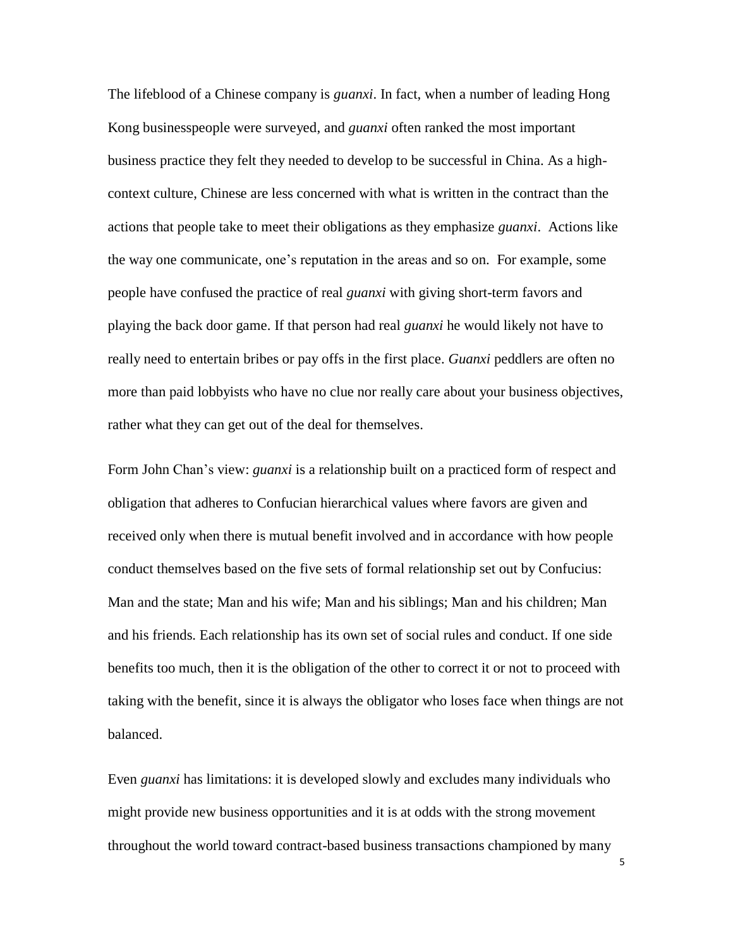The lifeblood of a Chinese company is *guanxi*. In fact, when a number of leading Hong Kong businesspeople were surveyed, and *guanxi* often ranked the most important business practice they felt they needed to develop to be successful in China. As a highcontext culture, Chinese are less concerned with what is written in the contract than the actions that people take to meet their obligations as they emphasize *guanxi*. Actions like the way one communicate, one's reputation in the areas and so on. For example, some people have confused the practice of real *guanxi* with giving short-term favors and playing the back door game. If that person had real *guanxi* he would likely not have to really need to entertain bribes or pay offs in the first place. *Guanxi* peddlers are often no more than paid lobbyists who have no clue nor really care about your business objectives, rather what they can get out of the deal for themselves.

Form John Chan's view: *guanxi* is a relationship built on a practiced form of respect and obligation that adheres to Confucian hierarchical values where favors are given and received only when there is mutual benefit involved and in accordance with how people conduct themselves based on the five sets of formal relationship set out by Confucius: Man and the state; Man and his wife; Man and his siblings; Man and his children; Man and his friends. Each relationship has its own set of social rules and conduct. If one side benefits too much, then it is the obligation of the other to correct it or not to proceed with taking with the benefit, since it is always the obligator who loses face when things are not balanced.

Even *guanxi* has limitations: it is developed slowly and excludes many individuals who might provide new business opportunities and it is at odds with the strong movement throughout the world toward contract-based business transactions championed by many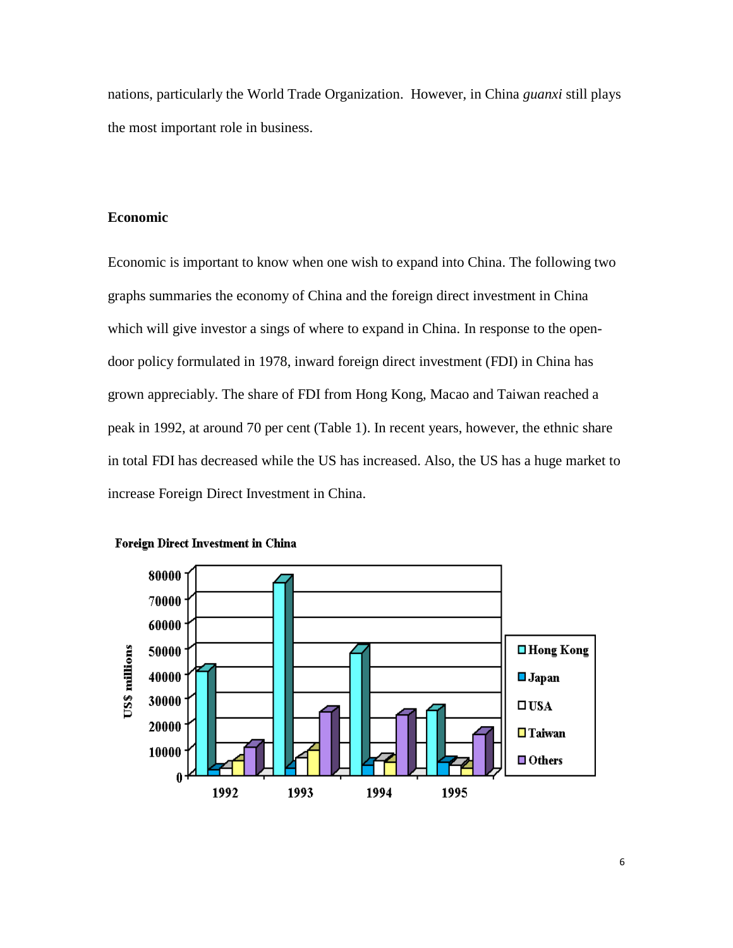nations, particularly the World Trade Organization. However, in China *guanxi* still plays the most important role in business.

# **Economic**

Economic is important to know when one wish to expand into China. The following two graphs summaries the economy of China and the foreign direct investment in China which will give investor a sings of where to expand in China. In response to the opendoor policy formulated in 1978, inward foreign direct investment (FDI) in China has grown appreciably. The share of FDI from Hong Kong, Macao and Taiwan reached a peak in 1992, at around 70 per cent (Table 1). In recent years, however, the ethnic share in total FDI has decreased while the US has increased. Also, the US has a huge market to increase Foreign Direct Investment in China.



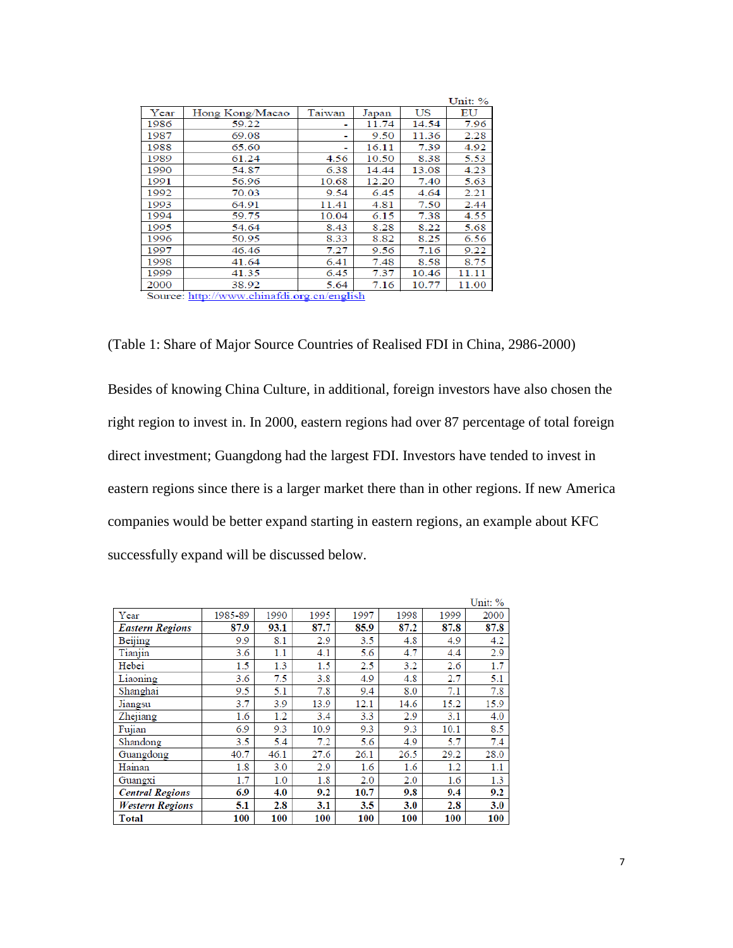|      |                 |        |       |       | Unit: % |
|------|-----------------|--------|-------|-------|---------|
| Year | Hong Kong/Macao | Taiwan | Japan | US    | ΕU      |
| 1986 | 59.22           |        | 11.74 | 14.54 | 7.96    |
| 1987 | 69.08           |        | 9.50  | 11.36 | 2.28    |
| 1988 | 65.60           |        | 16.11 | 7.39  | 4.92    |
| 1989 | 61.24           | 4.56   | 10.50 | 8.38  | 5.53    |
| 1990 | 54.87           | 6.38   | 14.44 | 13.08 | 4.23    |
| 1991 | 56.96           | 10.68  | 12.20 | 7.40  | 5.63    |
| 1992 | 70.03           | 9.54   | 6.45  | 4.64  | 2.21    |
| 1993 | 64.91           | 11.41  | 4.81  | 7.50  | 2.44    |
| 1994 | 59.75           | 10.04  | 6.15  | 7.38  | 4.55    |
| 1995 | 54.64           | 8.43   | 8.28  | 8.22  | 5.68    |
| 1996 | 50.95           | 8.33   | 8.82  | 8.25  | 6.56    |
| 1997 | 46.46           | 7.27   | 9.56  | 7.16  | 9.22    |
| 1998 | 41.64           | 6.41   | 7.48  | 8.58  | 8.75    |
| 1999 | 41.35           | 6.45   | 7.37  | 10.46 | 11.11   |
| 2000 | 38.92           | 5.64   | 7.16  | 10.77 | 11.00   |

Source: http://www.chinafdi.org.cn/english

(Table 1: Share of Major Source Countries of Realised FDI in China, 2986-2000)

Besides of knowing China Culture, in additional, foreign investors have also chosen the right region to invest in. In 2000, eastern regions had over 87 percentage of total foreign direct investment; Guangdong had the largest FDI. Investors have tended to invest in eastern regions since there is a larger market there than in other regions. If new America companies would be better expand starting in eastern regions, an example about KFC successfully expand will be discussed below.

|                        |         |      |      |      |      |      | Unit: % |
|------------------------|---------|------|------|------|------|------|---------|
| Year                   | 1985-89 | 1990 | 1995 | 1997 | 1998 | 1999 | 2000    |
| <b>Eastern Regions</b> | 87.9    | 93.1 | 87.7 | 85.9 | 87.2 | 87.8 | 87.8    |
| Beijing                | 9.9     | 8.1  | 2.9  | 3.5  | 4.8  | 4.9  | 4.2     |
| Tianjin                | 3.6     | 1.1  | 4.1  | 5.6  | 4.7  | 4.4  | 2.9     |
| Hebei                  | 1.5     | 1.3  | 1.5  | 2.5  | 3.2  | 2.6  | 1.7     |
| Liaoning               | 3.6     | 7.5  | 3.8  | 4.9  | 4.8  | 2.7  | 5.1     |
| Shanghai               | 9.5     | 5.1  | 7.8  | 9.4  | 8.0  | 7.1  | 7.8     |
| Jiangsu                | 3.7     | 3.9  | 13.9 | 12.1 | 14.6 | 15.2 | 15.9    |
| Zhejiang               | 1.6     | 1.2  | 3.4  | 3.3  | 2.9  | 3.1  | 4.0     |
| Fujian                 | 6.9     | 9.3  | 10.9 | 9.3  | 9.3  | 10.1 | 8.5     |
| Shandong               | 3.5     | 5.4  | 7.2  | 5.6  | 4.9  | 5.7  | 7.4     |
| Guangdong              | 40.7    | 46.1 | 27.6 | 26.1 | 26.5 | 29.2 | 28.0    |
| Hainan                 | 1.8     | 3.0  | 2.9  | 1.6  | 1.6  | 1.2  | 1.1     |
| Guangxi                | 1.7     | 1.0  | 1.8  | 2.0  | 2.0  | 1.6  | 1.3     |
| <b>Central Regions</b> | 6.9     | 4.0  | 9.2  | 10.7 | 9.8  | 9.4  | 9.2     |
| <b>Western Regions</b> | 5.1     | 2.8  | 3.1  | 3.5  | 3.0  | 2.8  | 3.0     |
| <b>Total</b>           | 100     | 100  | 100  | 100  | 100  | 100  | 100     |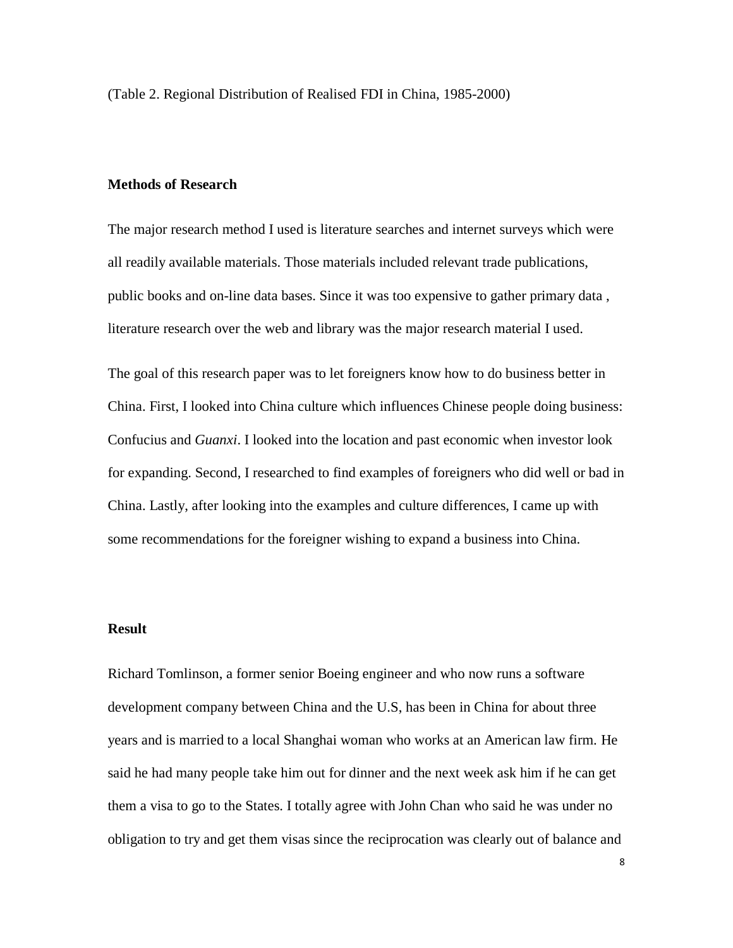(Table 2. Regional Distribution of Realised FDI in China, 1985-2000)

# **Methods of Research**

The major research method I used is literature searches and internet surveys which were all readily available materials. Those materials included relevant trade publications, public books and on-line data bases. Since it was too expensive to gather primary data , literature research over the web and library was the major research material I used.

The goal of this research paper was to let foreigners know how to do business better in China. First, I looked into China culture which influences Chinese people doing business: Confucius and *Guanxi*. I looked into the location and past economic when investor look for expanding. Second, I researched to find examples of foreigners who did well or bad in China. Lastly, after looking into the examples and culture differences, I came up with some recommendations for the foreigner wishing to expand a business into China.

### **Result**

Richard Tomlinson, a former senior Boeing engineer and who now runs a software development company between China and the U.S, has been in China for about three years and is married to a local Shanghai woman who works at an American law firm. He said he had many people take him out for dinner and the next week ask him if he can get them a visa to go to the States. I totally agree with John Chan who said he was under no obligation to try and get them visas since the reciprocation was clearly out of balance and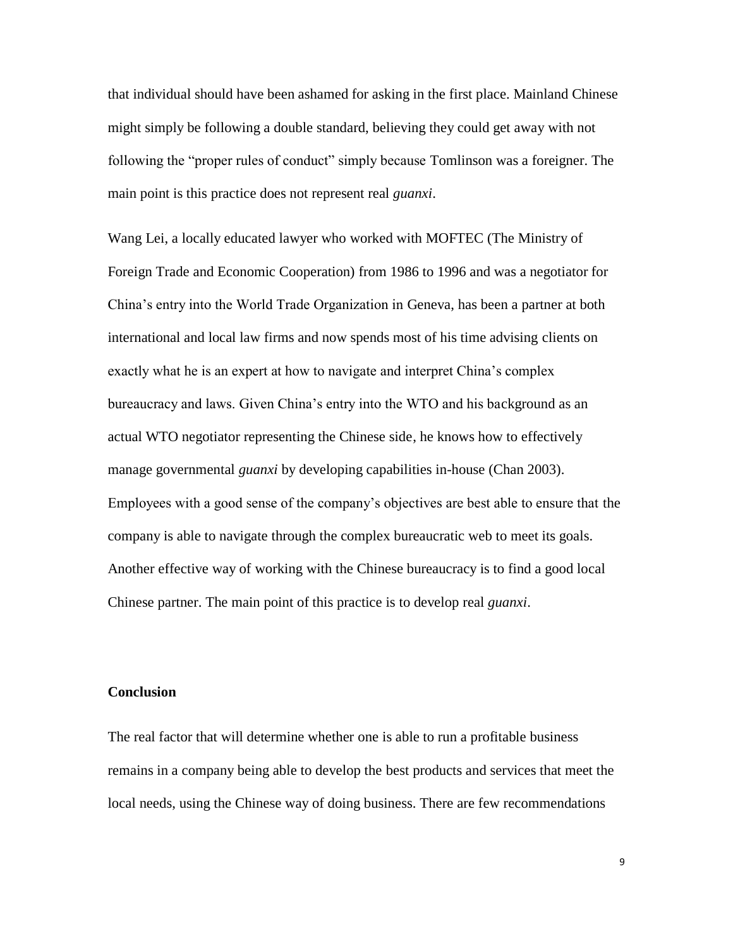that individual should have been ashamed for asking in the first place. Mainland Chinese might simply be following a double standard, believing they could get away with not following the "proper rules of conduct" simply because Tomlinson was a foreigner. The main point is this practice does not represent real *guanxi*.

Wang Lei, a locally educated lawyer who worked with MOFTEC (The Ministry of Foreign Trade and Economic Cooperation) from 1986 to 1996 and was a negotiator for China's entry into the World Trade Organization in Geneva, has been a partner at both international and local law firms and now spends most of his time advising clients on exactly what he is an expert at how to navigate and interpret China's complex bureaucracy and laws. Given China's entry into the WTO and his background as an actual WTO negotiator representing the Chinese side, he knows how to effectively manage governmental *guanxi* by developing capabilities in-house (Chan 2003). Employees with a good sense of the company's objectives are best able to ensure that the company is able to navigate through the complex bureaucratic web to meet its goals. Another effective way of working with the Chinese bureaucracy is to find a good local Chinese partner. The main point of this practice is to develop real *guanxi*.

# **Conclusion**

The real factor that will determine whether one is able to run a profitable business remains in a company being able to develop the best products and services that meet the local needs, using the Chinese way of doing business. There are few recommendations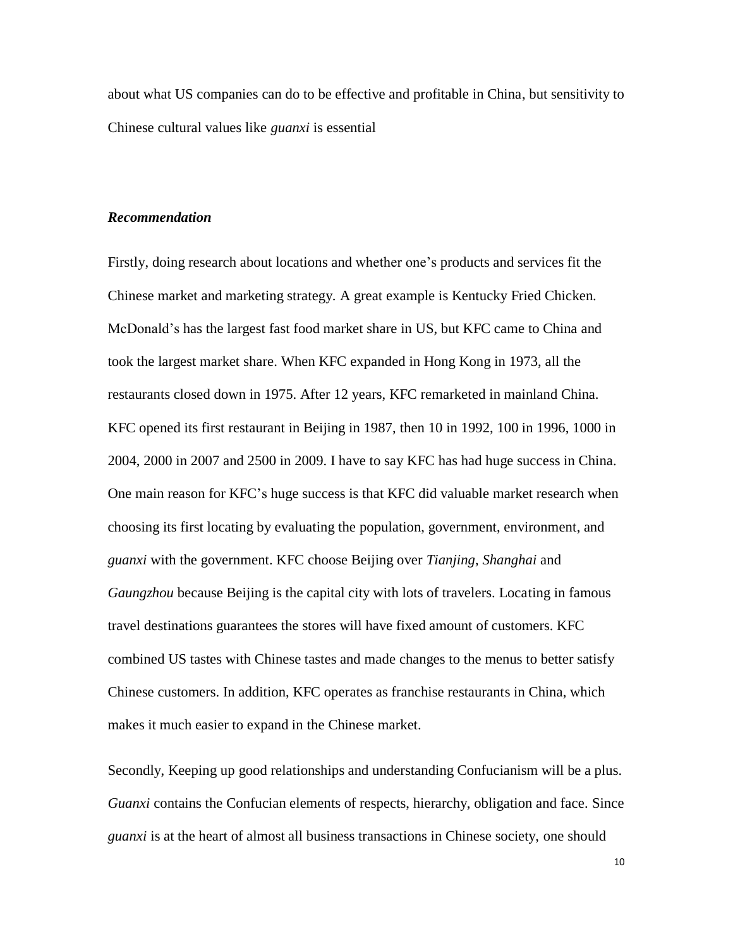about what US companies can do to be effective and profitable in China, but sensitivity to Chinese cultural values like *guanxi* is essential

#### *Recommendation*

Firstly, doing research about locations and whether one's products and services fit the Chinese market and marketing strategy. A great example is Kentucky Fried Chicken. McDonald's has the largest fast food market share in US, but KFC came to China and took the largest market share. When KFC expanded in Hong Kong in 1973, all the restaurants closed down in 1975. After 12 years, KFC remarketed in mainland China. KFC opened its first restaurant in Beijing in 1987, then 10 in 1992, 100 in 1996, 1000 in 2004, 2000 in 2007 and 2500 in 2009. I have to say KFC has had huge success in China. One main reason for KFC's huge success is that KFC did valuable market research when choosing its first locating by evaluating the population, government, environment, and *guanxi* with the government. KFC choose Beijing over *Tianjing*, *Shanghai* and *Gaungzhou* because Beijing is the capital city with lots of travelers. Locating in famous travel destinations guarantees the stores will have fixed amount of customers. KFC combined US tastes with Chinese tastes and made changes to the menus to better satisfy Chinese customers. In addition, KFC operates as franchise restaurants in China, which makes it much easier to expand in the Chinese market.

Secondly, Keeping up good relationships and understanding Confucianism will be a plus. *Guanxi* contains the Confucian elements of respects, hierarchy, obligation and face. Since *guanxi* is at the heart of almost all business transactions in Chinese society, one should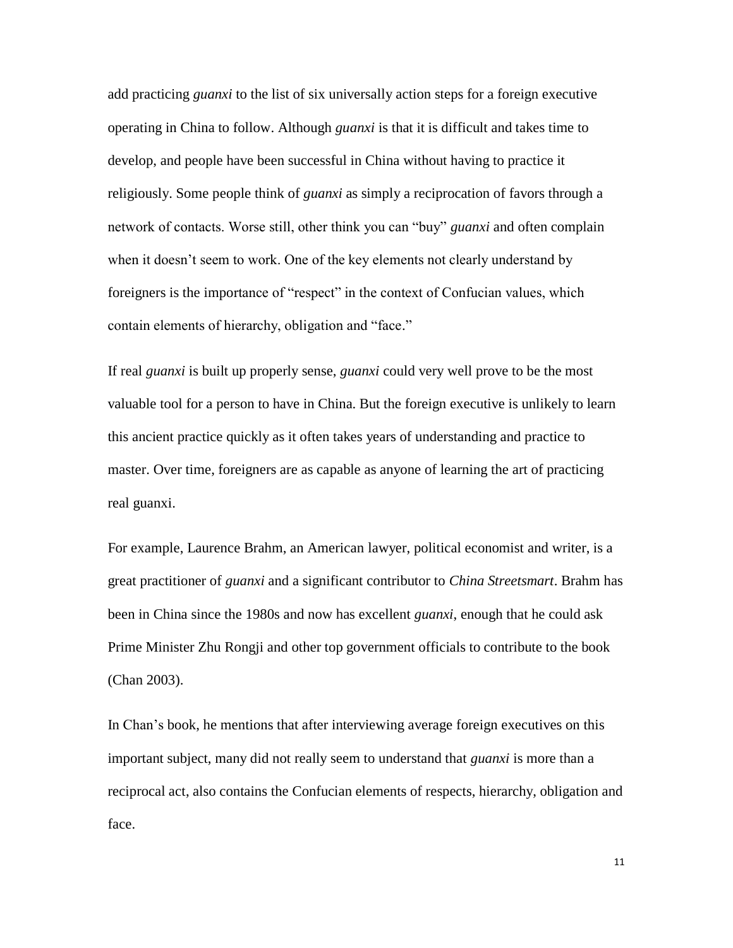add practicing *guanxi* to the list of six universally action steps for a foreign executive operating in China to follow. Although *guanxi* is that it is difficult and takes time to develop, and people have been successful in China without having to practice it religiously. Some people think of *guanxi* as simply a reciprocation of favors through a network of contacts. Worse still, other think you can "buy" *guanxi* and often complain when it doesn't seem to work. One of the key elements not clearly understand by foreigners is the importance of "respect" in the context of Confucian values, which contain elements of hierarchy, obligation and "face."

If real *guanxi* is built up properly sense, *guanxi* could very well prove to be the most valuable tool for a person to have in China. But the foreign executive is unlikely to learn this ancient practice quickly as it often takes years of understanding and practice to master. Over time, foreigners are as capable as anyone of learning the art of practicing real guanxi.

For example, Laurence Brahm, an American lawyer, political economist and writer, is a great practitioner of *guanxi* and a significant contributor to *China Streetsmart*. Brahm has been in China since the 1980s and now has excellent *guanxi*, enough that he could ask Prime Minister Zhu Rongji and other top government officials to contribute to the book (Chan 2003).

In Chan's book, he mentions that after interviewing average foreign executives on this important subject, many did not really seem to understand that *guanxi* is more than a reciprocal act, also contains the Confucian elements of respects, hierarchy, obligation and face.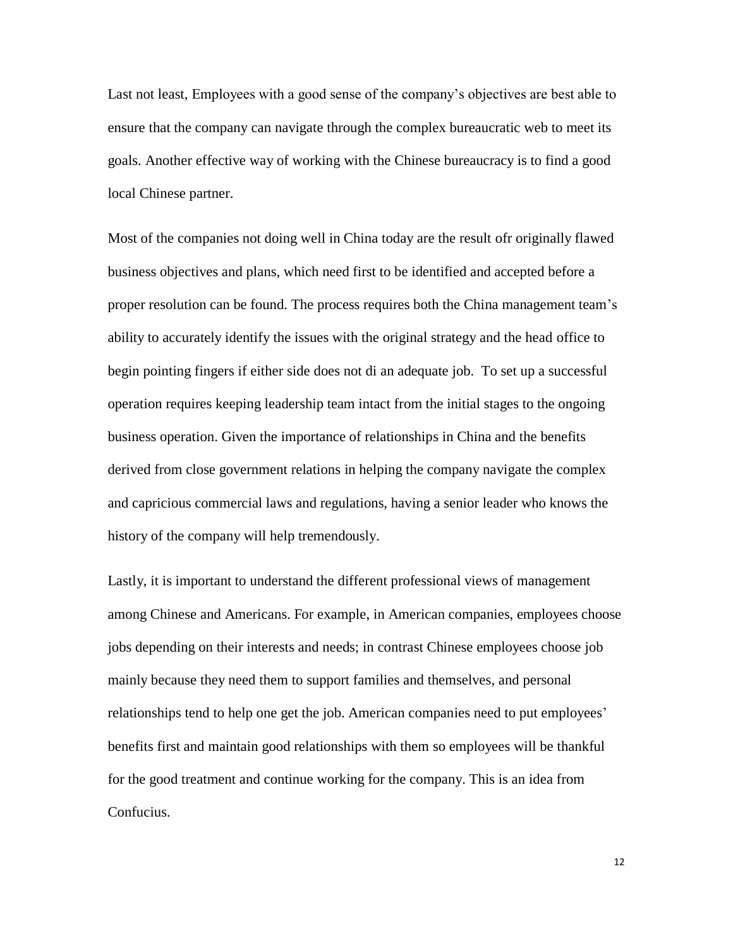Last not least, Employees with a good sense of the company's objectives are best able to ensure that the company can navigate through the complex bureaucratic web to meet its goals. Another effective way of working with the Chinese bureaucracy is to find a good local Chinese partner.

Most of the companies not doing well in China today are the result ofr originally flawed business objectives and plans, which need first to be identified and accepted before a proper resolution can be found. The process requires both the China management team's ability to accurately identify the issues with the original strategy and the head office to begin pointing fingers if either side does not di an adequate job. To set up a successful operation requires keeping leadership team intact from the initial stages to the ongoing business operation. Given the importance of relationships in China and the benefits derived from close government relations in helping the company navigate the complex and capricious commercial laws and regulations, having a senior leader who knows the history of the company will help tremendously.

Lastly, it is important to understand the different professional views of management among Chinese and Americans. For example, in American companies, employees choose jobs depending on their interests and needs; in contrast Chinese employees choose job mainly because they need them to support families and themselves, and personal relationships tend to help one get the job. American companies need to put employees' benefits first and maintain good relationships with them so employees will be thankful for the good treatment and continue working for the company. This is an idea from Confucius.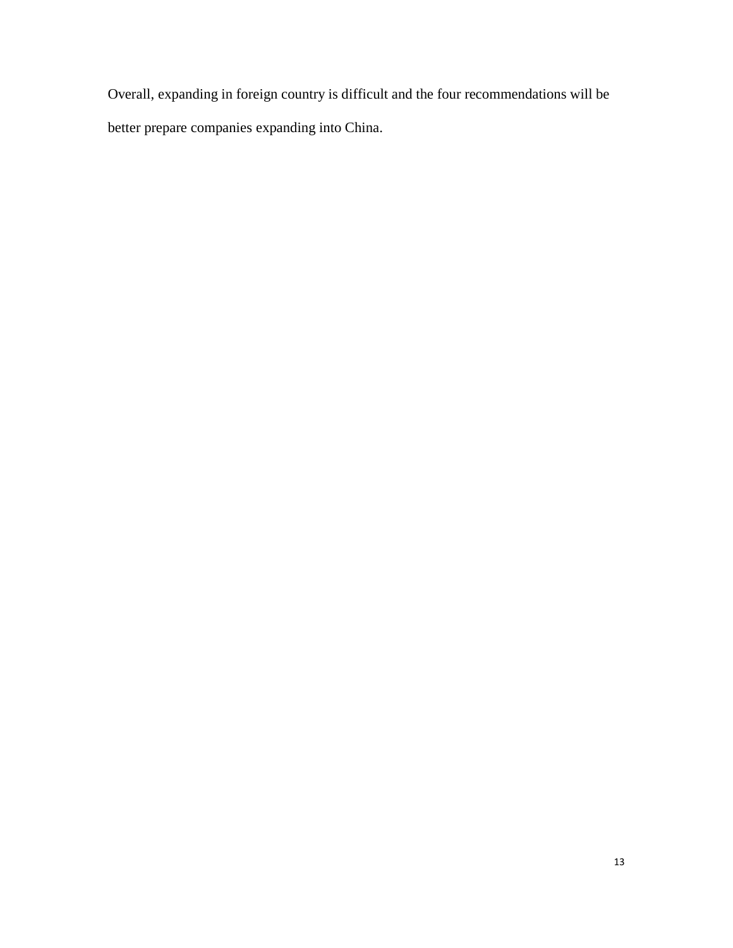Overall, expanding in foreign country is difficult and the four recommendations will be better prepare companies expanding into China.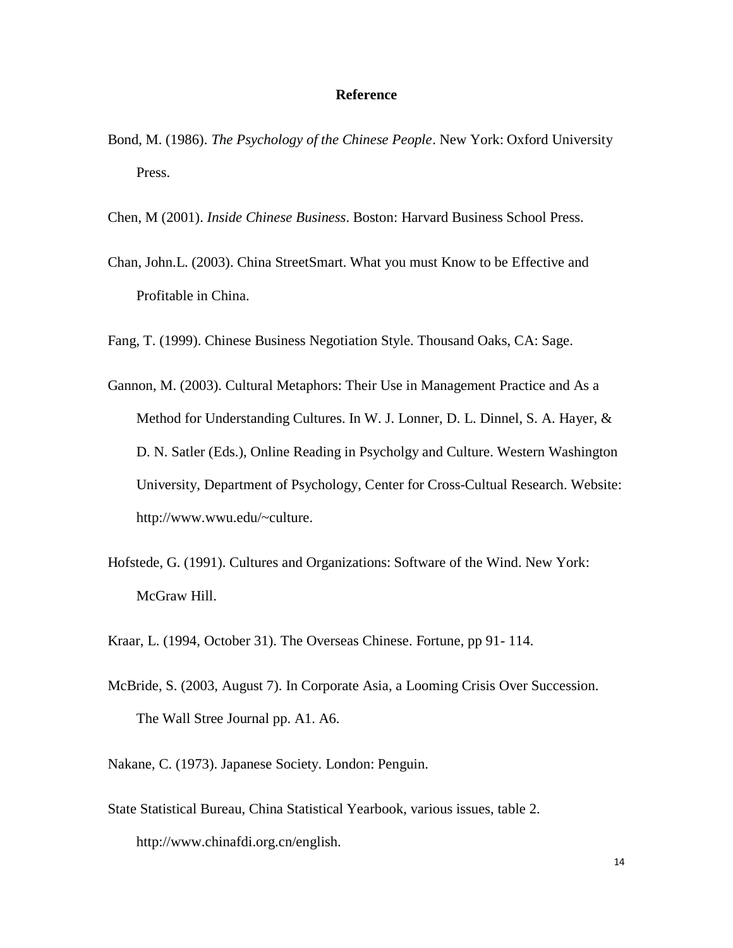#### **Reference**

- Bond, M. (1986). *The Psychology of the Chinese People*. New York: Oxford University Press.
- Chen, M (2001). *Inside Chinese Business*. Boston: Harvard Business School Press.
- Chan, John.L. (2003). China StreetSmart. What you must Know to be Effective and Profitable in China.
- Fang, T. (1999). Chinese Business Negotiation Style. Thousand Oaks, CA: Sage.
- Gannon, M. (2003). Cultural Metaphors: Their Use in Management Practice and As a Method for Understanding Cultures. In W. J. Lonner, D. L. Dinnel, S. A. Hayer, & D. N. Satler (Eds.), Online Reading in Psycholgy and Culture. Western Washington University, Department of Psychology, Center for Cross-Cultual Research. Website: http://www.wwu.edu/~culture.
- Hofstede, G. (1991). Cultures and Organizations: Software of the Wind. New York: McGraw Hill.
- Kraar, L. (1994, October 31). The Overseas Chinese. Fortune, pp 91- 114.
- McBride, S. (2003, August 7). In Corporate Asia, a Looming Crisis Over Succession. The Wall Stree Journal pp. A1. A6.
- Nakane, C. (1973). Japanese Society. London: Penguin.
- State Statistical Bureau, China Statistical Yearbook, various issues, table 2. http://www.chinafdi.org.cn/english.